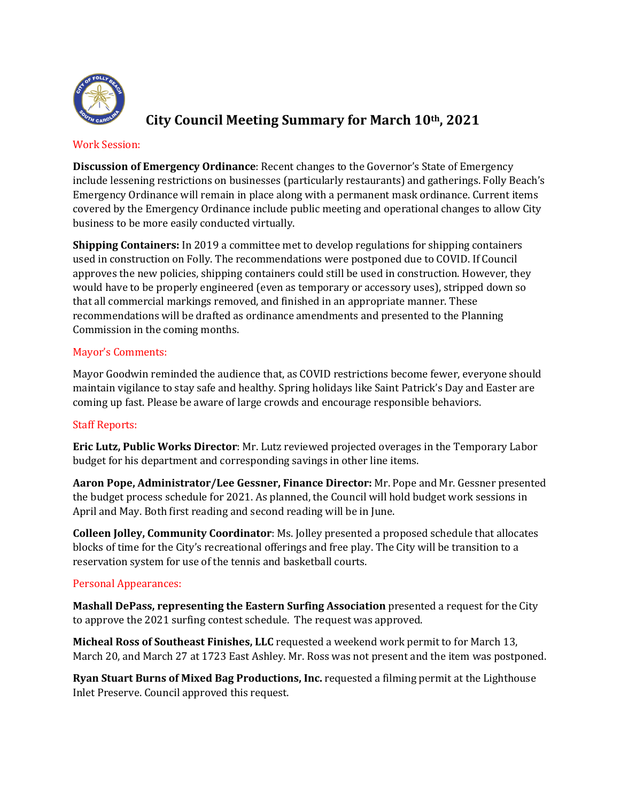

# **City Council Meeting Summary for March 10th, 2021**

#### Work Session:

**Discussion of Emergency Ordinance**: Recent changes to the Governor's State of Emergency include lessening restrictions on businesses (particularly restaurants) and gatherings. Folly Beach's Emergency Ordinance will remain in place along with a permanent mask ordinance. Current items covered by the Emergency Ordinance include public meeting and operational changes to allow City business to be more easily conducted virtually.

**Shipping Containers:** In 2019 a committee met to develop regulations for shipping containers used in construction on Folly. The recommendations were postponed due to COVID. If Council approves the new policies, shipping containers could still be used in construction. However, they would have to be properly engineered (even as temporary or accessory uses), stripped down so that all commercial markings removed, and finished in an appropriate manner. These recommendations will be drafted as ordinance amendments and presented to the Planning Commission in the coming months.

# Mayor's Comments:

Mayor Goodwin reminded the audience that, as COVID restrictions become fewer, everyone should maintain vigilance to stay safe and healthy. Spring holidays like Saint Patrick's Day and Easter are coming up fast. Please be aware of large crowds and encourage responsible behaviors.

# Staff Reports:

**Eric Lutz, Public Works Director**: Mr. Lutz reviewed projected overages in the Temporary Labor budget for his department and corresponding savings in other line items.

**Aaron Pope, Administrator/Lee Gessner, Finance Director:** Mr. Pope and Mr. Gessner presented the budget process schedule for 2021. As planned, the Council will hold budget work sessions in April and May. Both first reading and second reading will be in June.

**Colleen Jolley, Community Coordinator**: Ms. Jolley presented a proposed schedule that allocates blocks of time for the City's recreational offerings and free play. The City will be transition to a reservation system for use of the tennis and basketball courts.

#### Personal Appearances:

**Mashall DePass, representing the Eastern Surfing Association** presented a request for the City to approve the 2021 surfing contest schedule. The request was approved.

**Micheal Ross of Southeast Finishes, LLC** requested a weekend work permit to for March 13, March 20, and March 27 at 1723 East Ashley. Mr. Ross was not present and the item was postponed.

**Ryan Stuart Burns of Mixed Bag Productions, Inc.** requested a filming permit at the Lighthouse Inlet Preserve. Council approved this request.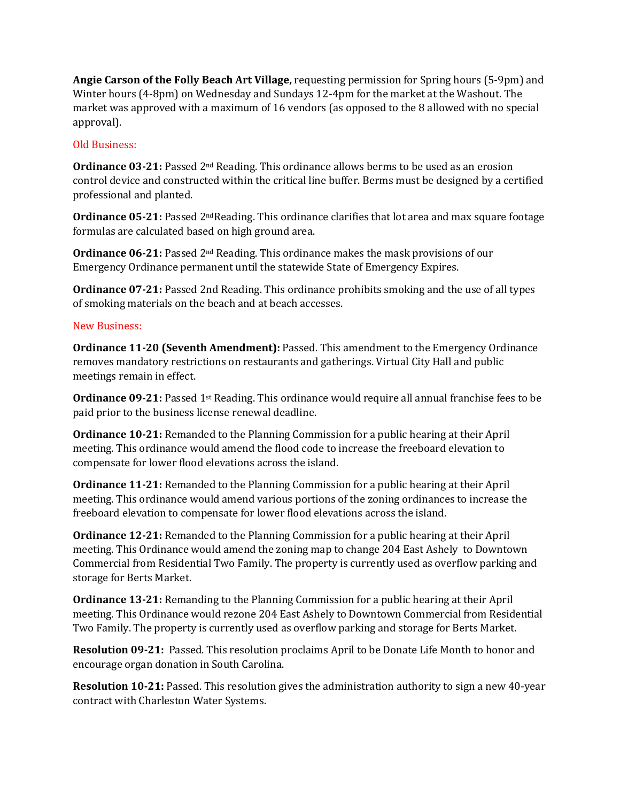**Angie Carson of the Folly Beach Art Village,** requesting permission for Spring hours (5-9pm) and Winter hours (4-8pm) on Wednesday and Sundays 12-4pm for the market at the Washout. The market was approved with a maximum of 16 vendors (as opposed to the 8 allowed with no special approval).

### Old Business:

**Ordinance 03-21:** Passed 2<sup>nd</sup> Reading. This ordinance allows berms to be used as an erosion control device and constructed within the critical line buffer. Berms must be designed by a certified professional and planted.

**Ordinance 05-21:** Passed 2<sup>nd</sup>Reading. This ordinance clarifies that lot area and max square footage formulas are calculated based on high ground area.

**Ordinance 06-21:** Passed 2<sup>nd</sup> Reading. This ordinance makes the mask provisions of our Emergency Ordinance permanent until the statewide State of Emergency Expires.

**Ordinance 07-21:** Passed 2nd Reading. This ordinance prohibits smoking and the use of all types of smoking materials on the beach and at beach accesses.

#### New Business:

**Ordinance 11-20 (Seventh Amendment):** Passed. This amendment to the Emergency Ordinance removes mandatory restrictions on restaurants and gatherings. Virtual City Hall and public meetings remain in effect.

**Ordinance 09-21:** Passed 1<sup>st</sup> Reading. This ordinance would require all annual franchise fees to be paid prior to the business license renewal deadline.

**Ordinance 10-21:** Remanded to the Planning Commission for a public hearing at their April meeting. This ordinance would amend the flood code to increase the freeboard elevation to compensate for lower flood elevations across the island.

**Ordinance 11-21:** Remanded to the Planning Commission for a public hearing at their April meeting. This ordinance would amend various portions of the zoning ordinances to increase the freeboard elevation to compensate for lower flood elevations across the island.

**Ordinance 12-21:** Remanded to the Planning Commission for a public hearing at their April meeting. This Ordinance would amend the zoning map to change 204 East Ashely to Downtown Commercial from Residential Two Family. The property is currently used as overflow parking and storage for Berts Market.

**Ordinance 13-21:** Remanding to the Planning Commission for a public hearing at their April meeting. This Ordinance would rezone 204 East Ashely to Downtown Commercial from Residential Two Family. The property is currently used as overflow parking and storage for Berts Market.

**Resolution 09-21:** Passed. This resolution proclaims April to be Donate Life Month to honor and encourage organ donation in South Carolina.

**Resolution 10-21:** Passed. This resolution gives the administration authority to sign a new 40-year contract with Charleston Water Systems.